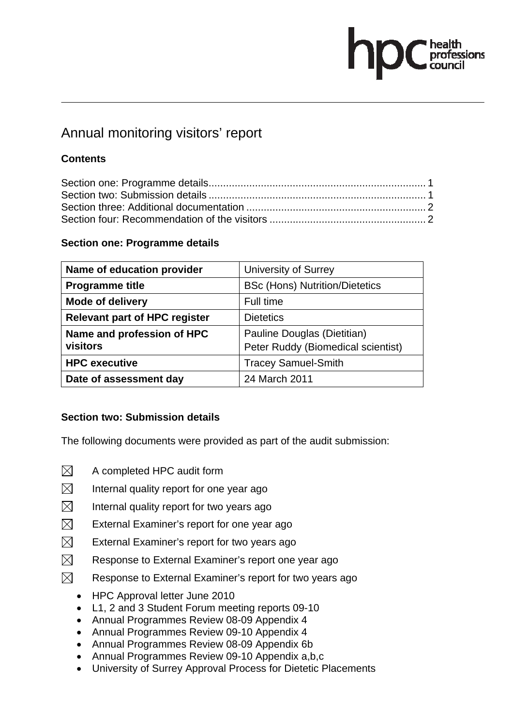# ofessions

# Annual monitoring visitors' report

# **Contents**

## **Section one: Programme details**

| Name of education provider           | <b>University of Surrey</b>           |
|--------------------------------------|---------------------------------------|
| <b>Programme title</b>               | <b>BSc (Hons) Nutrition/Dietetics</b> |
| <b>Mode of delivery</b>              | Full time                             |
| <b>Relevant part of HPC register</b> | <b>Dietetics</b>                      |
| Name and profession of HPC           | Pauline Douglas (Dietitian)           |
| visitors                             | Peter Ruddy (Biomedical scientist)    |
| <b>HPC</b> executive                 | <b>Tracey Samuel-Smith</b>            |
| Date of assessment day               | 24 March 2011                         |

#### **Section two: Submission details**

The following documents were provided as part of the audit submission:

- $\boxtimes$  A completed HPC audit form
- $\boxtimes$  Internal quality report for one year ago
- $\boxtimes$  Internal quality report for two years ago
- $\boxtimes$  External Examiner's report for one year ago
- $\boxtimes$  External Examiner's report for two vears ago
- $\boxtimes$  Response to External Examiner's report one year ago
- $\boxtimes$  Response to External Examiner's report for two years ago
	- HPC Approval letter June 2010
	- L1, 2 and 3 Student Forum meeting reports 09-10
	- Annual Programmes Review 08-09 Appendix 4
	- Annual Programmes Review 09-10 Appendix 4
	- Annual Programmes Review 08-09 Appendix 6b
	- Annual Programmes Review 09-10 Appendix a,b,c
	- University of Surrey Approval Process for Dietetic Placements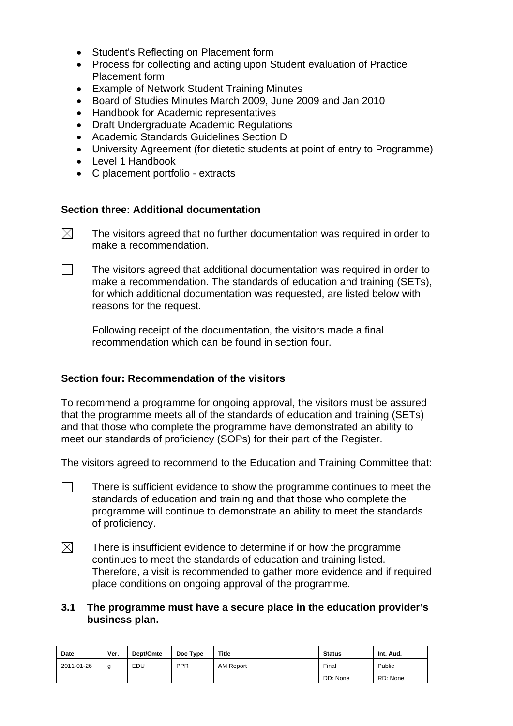- Student's Reflecting on Placement form
- Process for collecting and acting upon Student evaluation of Practice Placement form
- Example of Network Student Training Minutes
- Board of Studies Minutes March 2009, June 2009 and Jan 2010
- Handbook for Academic representatives
- Draft Undergraduate Academic Regulations
- Academic Standards Guidelines Section D
- University Agreement (for dietetic students at point of entry to Programme)
- Level 1 Handbook
- C placement portfolio extracts

#### **Section three: Additional documentation**

- $\boxtimes$  The visitors agreed that no further documentation was required in order to make a recommendation.
- $\Box$  The visitors agreed that additional documentation was required in order to make a recommendation. The standards of education and training (SETs), for which additional documentation was requested, are listed below with reasons for the request.

Following receipt of the documentation, the visitors made a final recommendation which can be found in section four.

#### **Section four: Recommendation of the visitors**

To recommend a programme for ongoing approval, the visitors must be assured that the programme meets all of the standards of education and training (SETs) and that those who complete the programme have demonstrated an ability to meet our standards of proficiency (SOPs) for their part of the Register.

The visitors agreed to recommend to the Education and Training Committee that:

- $\Box$  There is sufficient evidence to show the programme continues to meet the standards of education and training and that those who complete the programme will continue to demonstrate an ability to meet the standards of proficiency.
- $\boxtimes$  There is insufficient evidence to determine if or how the programme continues to meet the standards of education and training listed. Therefore, a visit is recommended to gather more evidence and if required place conditions on ongoing approval of the programme.
- **3.1 The programme must have a secure place in the education provider's business plan.**

| <b>Date</b> | Ver. | Dept/Cmte | Doc Type   | <b>Title</b> | <b>Status</b> | Int. Aud. |
|-------------|------|-----------|------------|--------------|---------------|-----------|
| 2011-01-26  | a    | EDU       | <b>PPR</b> | AM Report    | Final         | Public    |
|             |      |           |            |              | DD: None      | RD: None  |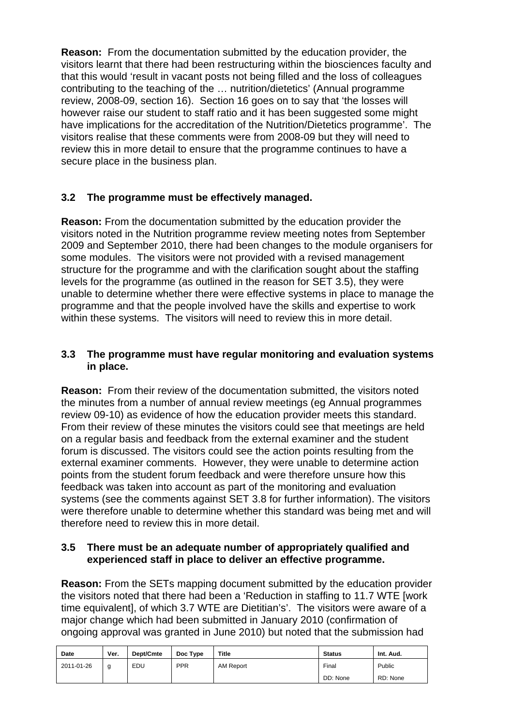**Reason:** From the documentation submitted by the education provider, the visitors learnt that there had been restructuring within the biosciences faculty and that this would 'result in vacant posts not being filled and the loss of colleagues contributing to the teaching of the … nutrition/dietetics' (Annual programme review, 2008-09, section 16). Section 16 goes on to say that 'the losses will however raise our student to staff ratio and it has been suggested some might have implications for the accreditation of the Nutrition/Dietetics programme'. The visitors realise that these comments were from 2008-09 but they will need to review this in more detail to ensure that the programme continues to have a secure place in the business plan.

## **3.2 The programme must be effectively managed.**

**Reason:** From the documentation submitted by the education provider the visitors noted in the Nutrition programme review meeting notes from September 2009 and September 2010, there had been changes to the module organisers for some modules. The visitors were not provided with a revised management structure for the programme and with the clarification sought about the staffing levels for the programme (as outlined in the reason for SET 3.5), they were unable to determine whether there were effective systems in place to manage the programme and that the people involved have the skills and expertise to work within these systems. The visitors will need to review this in more detail.

#### **3.3 The programme must have regular monitoring and evaluation systems in place.**

**Reason:** From their review of the documentation submitted, the visitors noted the minutes from a number of annual review meetings (eg Annual programmes review 09-10) as evidence of how the education provider meets this standard. From their review of these minutes the visitors could see that meetings are held on a regular basis and feedback from the external examiner and the student forum is discussed. The visitors could see the action points resulting from the external examiner comments. However, they were unable to determine action points from the student forum feedback and were therefore unsure how this feedback was taken into account as part of the monitoring and evaluation systems (see the comments against SET 3.8 for further information). The visitors were therefore unable to determine whether this standard was being met and will therefore need to review this in more detail.

#### **3.5 There must be an adequate number of appropriately qualified and experienced staff in place to deliver an effective programme.**

**Reason:** From the SETs mapping document submitted by the education provider the visitors noted that there had been a 'Reduction in staffing to 11.7 WTE [work time equivalent], of which 3.7 WTE are Dietitian's'. The visitors were aware of a major change which had been submitted in January 2010 (confirmation of ongoing approval was granted in June 2010) but noted that the submission had

| <b>Date</b> | Ver. | Dept/Cmte | Doc Type   | Title     | <b>Status</b> | Int. Aud. |
|-------------|------|-----------|------------|-----------|---------------|-----------|
| 2011-01-26  | g    | EDU       | <b>PPR</b> | AM Report | Final         | Public    |
|             |      |           |            |           | DD: None      | RD: None  |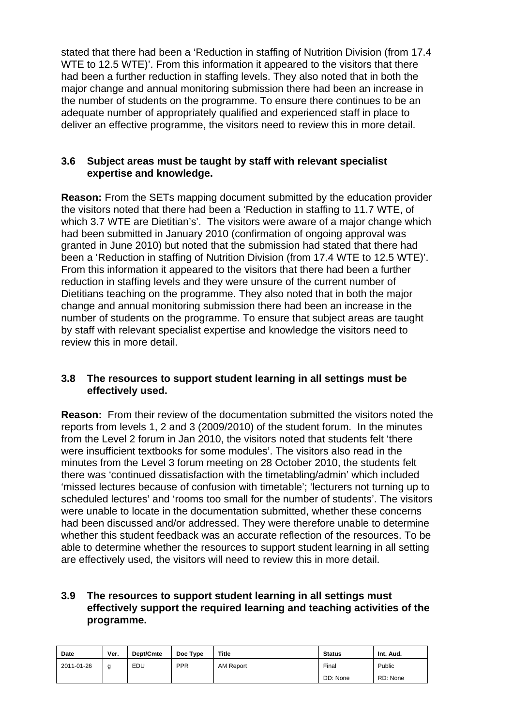stated that there had been a 'Reduction in staffing of Nutrition Division (from 17.4 WTE to 12.5 WTE)'. From this information it appeared to the visitors that there had been a further reduction in staffing levels. They also noted that in both the major change and annual monitoring submission there had been an increase in the number of students on the programme. To ensure there continues to be an adequate number of appropriately qualified and experienced staff in place to deliver an effective programme, the visitors need to review this in more detail.

#### **3.6 Subject areas must be taught by staff with relevant specialist expertise and knowledge.**

**Reason:** From the SETs mapping document submitted by the education provider the visitors noted that there had been a 'Reduction in staffing to 11.7 WTE, of which 3.7 WTE are Dietitian's'. The visitors were aware of a major change which had been submitted in January 2010 (confirmation of ongoing approval was granted in June 2010) but noted that the submission had stated that there had been a 'Reduction in staffing of Nutrition Division (from 17.4 WTE to 12.5 WTE)'. From this information it appeared to the visitors that there had been a further reduction in staffing levels and they were unsure of the current number of Dietitians teaching on the programme. They also noted that in both the major change and annual monitoring submission there had been an increase in the number of students on the programme. To ensure that subject areas are taught by staff with relevant specialist expertise and knowledge the visitors need to review this in more detail.

#### **3.8 The resources to support student learning in all settings must be effectively used.**

**Reason:** From their review of the documentation submitted the visitors noted the reports from levels 1, 2 and 3 (2009/2010) of the student forum. In the minutes from the Level 2 forum in Jan 2010, the visitors noted that students felt 'there were insufficient textbooks for some modules'. The visitors also read in the minutes from the Level 3 forum meeting on 28 October 2010, the students felt there was 'continued dissatisfaction with the timetabling/admin' which included 'missed lectures because of confusion with timetable'; 'lecturers not turning up to scheduled lectures' and 'rooms too small for the number of students'. The visitors were unable to locate in the documentation submitted, whether these concerns had been discussed and/or addressed. They were therefore unable to determine whether this student feedback was an accurate reflection of the resources. To be able to determine whether the resources to support student learning in all setting are effectively used, the visitors will need to review this in more detail.

#### **3.9 The resources to support student learning in all settings must effectively support the required learning and teaching activities of the programme.**

| Date       | Ver. | Dept/Cmte | Doc Type   | <b>Title</b> | <b>Status</b> | Int. Aud. |
|------------|------|-----------|------------|--------------|---------------|-----------|
| 2011-01-26 | a    | EDU       | <b>PPR</b> | AM Report    | Final         | Public    |
|            |      |           |            |              | DD: None      | RD: None  |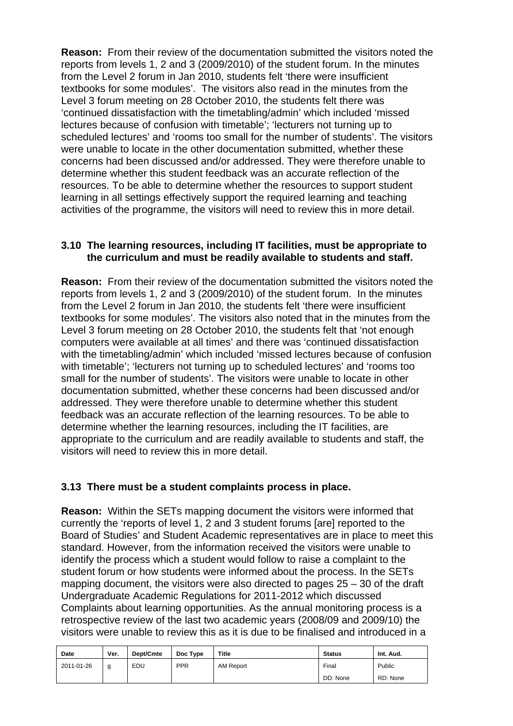**Reason:** From their review of the documentation submitted the visitors noted the reports from levels 1, 2 and 3 (2009/2010) of the student forum. In the minutes from the Level 2 forum in Jan 2010, students felt 'there were insufficient textbooks for some modules'. The visitors also read in the minutes from the Level 3 forum meeting on 28 October 2010, the students felt there was 'continued dissatisfaction with the timetabling/admin' which included 'missed lectures because of confusion with timetable'; 'lecturers not turning up to scheduled lectures' and 'rooms too small for the number of students'. The visitors were unable to locate in the other documentation submitted, whether these concerns had been discussed and/or addressed. They were therefore unable to determine whether this student feedback was an accurate reflection of the resources. To be able to determine whether the resources to support student learning in all settings effectively support the required learning and teaching activities of the programme, the visitors will need to review this in more detail.

#### **3.10 The learning resources, including IT facilities, must be appropriate to the curriculum and must be readily available to students and staff.**

**Reason:** From their review of the documentation submitted the visitors noted the reports from levels 1, 2 and 3 (2009/2010) of the student forum. In the minutes from the Level 2 forum in Jan 2010, the students felt 'there were insufficient textbooks for some modules'. The visitors also noted that in the minutes from the Level 3 forum meeting on 28 October 2010, the students felt that 'not enough computers were available at all times' and there was 'continued dissatisfaction with the timetabling/admin' which included 'missed lectures because of confusion with timetable'; 'lecturers not turning up to scheduled lectures' and 'rooms too small for the number of students'. The visitors were unable to locate in other documentation submitted, whether these concerns had been discussed and/or addressed. They were therefore unable to determine whether this student feedback was an accurate reflection of the learning resources. To be able to determine whether the learning resources, including the IT facilities, are appropriate to the curriculum and are readily available to students and staff, the visitors will need to review this in more detail.

#### **3.13 There must be a student complaints process in place.**

**Reason:** Within the SETs mapping document the visitors were informed that currently the 'reports of level 1, 2 and 3 student forums [are] reported to the Board of Studies' and Student Academic representatives are in place to meet this standard. However, from the information received the visitors were unable to identify the process which a student would follow to raise a complaint to the student forum or how students were informed about the process. In the SETs mapping document, the visitors were also directed to pages 25 – 30 of the draft Undergraduate Academic Regulations for 2011-2012 which discussed Complaints about learning opportunities. As the annual monitoring process is a retrospective review of the last two academic years (2008/09 and 2009/10) the visitors were unable to review this as it is due to be finalised and introduced in a

| <b>Date</b> | Ver. | Dept/Cmte | Doc Type   | Title            | <b>Status</b> | Int. Aud. |
|-------------|------|-----------|------------|------------------|---------------|-----------|
| 2011-01-26  | a    | EDU       | <b>PPR</b> | <b>AM Report</b> | Final         | Public    |
|             |      |           |            |                  | DD: None      | RD: None  |